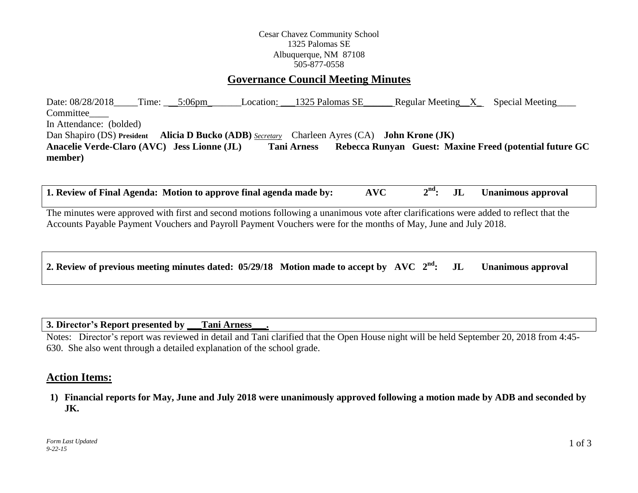### Cesar Chavez Community School 1325 Palomas SE Albuquerque, NM 87108 505-877-0558

# **Governance Council Meeting Minutes**

Date:  $08/28/2018$  Time:  $5:06$ pm Location:  $1325$  Palomas SE Regular Meeting X Special Meeting Committee In Attendance: (bolded) Dan Shapiro (DS) **President Alicia D Bucko (ADB)** *Secretary* Charleen Ayres (CA) **John Krone (JK) Anacelie Verde-Claro (AVC) Jess Lionne (JL) Tani Arness Rebecca Runyan Guest: Maxine Freed (potential future GC member)**

**1. Review of Final Agenda: Motion to approve final agenda made by: AVC 2 JL Unanimous approval** 

The minutes were approved with first and second motions following a unanimous vote after clarifications were added to reflect that the Accounts Payable Payment Vouchers and Payroll Payment Vouchers were for the months of May, June and July 2018.

**3. Director's Report presented by \_\_\_Tani Arness\_\_\_.**

Notes: Director's report was reviewed in detail and Tani clarified that the Open House night will be held September 20, 2018 from 4:45- 630. She also went through a detailed explanation of the school grade.

## **Action Items:**

**1) Financial reports for May, June and July 2018 were unanimously approved following a motion made by ADB and seconded by JK.**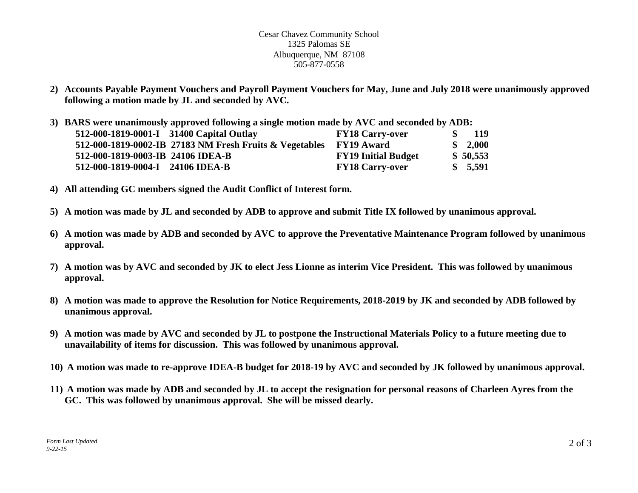Cesar Chavez Community School 1325 Palomas SE Albuquerque, NM 87108 505-877-0558

- **2) Accounts Payable Payment Vouchers and Payroll Payment Vouchers for May, June and July 2018 were unanimously approved following a motion made by JL and seconded by AVC.**
- **3) BARS were unanimously approved following a single motion made by AVC and seconded by ADB: 512-000-1819-0001-I 31400 Capital Outlay FY18 Carry-over \$ 119 512-000-1819-0002-IB 27183 NM Fresh Fruits & Vegetables FY19 Award \$ 2,000 512-000-1819-0003-IB 24106 IDEA-B FY19 Initial Budget \$ 50,553 512-000-1819-0004-I 24106 IDEA-B FY18 Carry-over \$ 5,591**
- **4) All attending GC members signed the Audit Conflict of Interest form.**
- **5) A motion was made by JL and seconded by ADB to approve and submit Title IX followed by unanimous approval.**
- **6) A motion was made by ADB and seconded by AVC to approve the Preventative Maintenance Program followed by unanimous approval.**
- **7) A motion was by AVC and seconded by JK to elect Jess Lionne as interim Vice President. This was followed by unanimous approval.**
- **8) A motion was made to approve the Resolution for Notice Requirements, 2018-2019 by JK and seconded by ADB followed by unanimous approval.**
- **9) A motion was made by AVC and seconded by JL to postpone the Instructional Materials Policy to a future meeting due to unavailability of items for discussion. This was followed by unanimous approval.**
- **10) A motion was made to re-approve IDEA-B budget for 2018-19 by AVC and seconded by JK followed by unanimous approval.**
- **11) A motion was made by ADB and seconded by JL to accept the resignation for personal reasons of Charleen Ayres from the GC. This was followed by unanimous approval. She will be missed dearly.**